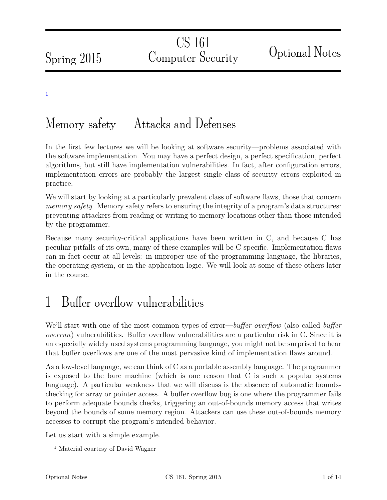Spring 2015

CS 161 Computer Security Optional Notes

[1](#page-0-0)

# Memory safety — Attacks and Defenses

In the first few lectures we will be looking at software security—problems associated with the software implementation. You may have a perfect design, a perfect specification, perfect algorithms, but still have implementation vulnerabilities. In fact, after configuration errors, implementation errors are probably the largest single class of security errors exploited in practice.

We will start by looking at a particularly prevalent class of software flaws, those that concern memory safety. Memory safety refers to ensuring the integrity of a program's data structures: preventing attackers from reading or writing to memory locations other than those intended by the programmer.

Because many security-critical applications have been written in C, and because C has peculiar pitfalls of its own, many of these examples will be C-specific. Implementation flaws can in fact occur at all levels: in improper use of the programming language, the libraries, the operating system, or in the application logic. We will look at some of these others later in the course.

# 1 Buffer overflow vulnerabilities

We'll start with one of the most common types of error—buffer overflow (also called buffer overrun) vulnerabilities. Buffer overflow vulnerabilities are a particular risk in C. Since it is an especially widely used systems programming language, you might not be surprised to hear that buffer overflows are one of the most pervasive kind of implementation flaws around.

As a low-level language, we can think of C as a portable assembly language. The programmer is exposed to the bare machine (which is one reason that C is such a popular systems language). A particular weakness that we will discuss is the absence of automatic boundschecking for array or pointer access. A buffer overflow bug is one where the programmer fails to perform adequate bounds checks, triggering an out-of-bounds memory access that writes beyond the bounds of some memory region. Attackers can use these out-of-bounds memory accesses to corrupt the program's intended behavior.

Let us start with a simple example.

<span id="page-0-0"></span><sup>&</sup>lt;sup>1</sup> Material courtesy of David Wagner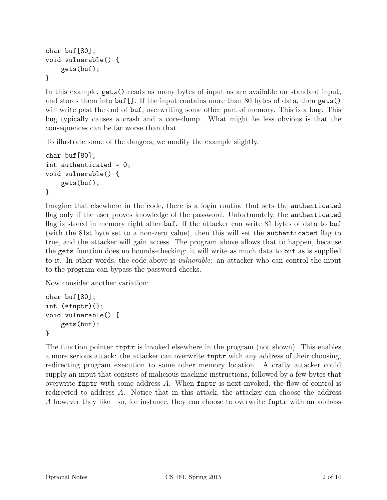```
char buf[80];
void vulnerable() {
    gets(buf);
}
```
In this example, gets() reads as many bytes of input as are available on standard input, and stores them into buf[]. If the input contains more than 80 bytes of data, then gets() will write past the end of **buf**, overwriting some other part of memory. This is a bug. This bug typically causes a crash and a core-dump. What might be less obvious is that the consequences can be far worse than that.

To illustrate some of the dangers, we modify the example slightly.

```
char buf[80];
int authenticated = 0;
void vulnerable() {
    gets(buf);
}
```
Imagine that elsewhere in the code, there is a login routine that sets the authenticated flag only if the user proves knowledge of the password. Unfortunately, the authenticated flag is stored in memory right after buf. If the attacker can write 81 bytes of data to buf (with the 81st byte set to a non-zero value), then this will set the authenticated flag to true, and the attacker will gain access. The program above allows that to happen, because the gets function does no bounds-checking: it will write as much data to buf as is supplied to it. In other words, the code above is vulnerable: an attacker who can control the input to the program can bypass the password checks.

Now consider another variation:

```
char buf[80];
int (*fnptr)();
void vulnerable() {
    gets(buf);
}
```
The function pointer fnptr is invoked elsewhere in the program (not shown). This enables a more serious attack: the attacker can overwrite fnptr with any address of their choosing, redirecting program execution to some other memory location. A crafty attacker could supply an input that consists of malicious machine instructions, followed by a few bytes that overwrite finptr with some address  $A$ . When finptr is next invoked, the flow of control is redirected to address A. Notice that in this attack, the attacker can choose the address A however they like—so, for instance, they can choose to overwrite fnptr with an address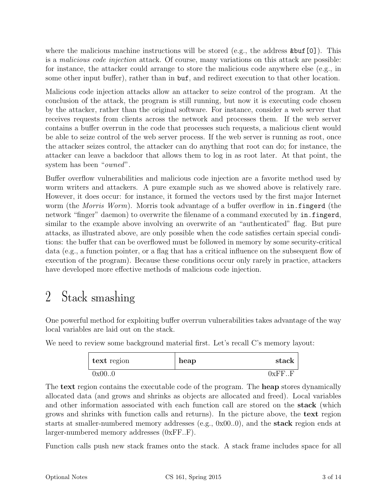where the malicious machine instructions will be stored (e.g., the address  $k$ buf[0]). This is a malicious code injection attack. Of course, many variations on this attack are possible: for instance, the attacker could arrange to store the malicious code anywhere else (e.g., in some other input buffer), rather than in buf, and redirect execution to that other location.

Malicious code injection attacks allow an attacker to seize control of the program. At the conclusion of the attack, the program is still running, but now it is executing code chosen by the attacker, rather than the original software. For instance, consider a web server that receives requests from clients across the network and processes them. If the web server contains a buffer overrun in the code that processes such requests, a malicious client would be able to seize control of the web server process. If the web server is running as root, once the attacker seizes control, the attacker can do anything that root can do; for instance, the attacker can leave a backdoor that allows them to log in as root later. At that point, the system has been "*owned*".

Buffer overflow vulnerabilities and malicious code injection are a favorite method used by worm writers and attackers. A pure example such as we showed above is relatively rare. However, it does occur: for instance, it formed the vectors used by the first major Internet worm (the *Morris Worm*). Morris took advantage of a buffer overflow in in. fingerd (the network "finger" daemon) to overwrite the filename of a command executed by in.fingerd, similar to the example above involving an overwrite of an "authenticated" flag. But pure attacks, as illustrated above, are only possible when the code satisfies certain special conditions: the buffer that can be overflowed must be followed in memory by some security-critical data (e.g., a function pointer, or a flag that has a critical influence on the subsequent flow of execution of the program). Because these conditions occur only rarely in practice, attackers have developed more effective methods of malicious code injection.

### 2 Stack smashing

One powerful method for exploiting buffer overrun vulnerabilities takes advantage of the way local variables are laid out on the stack.

We need to review some background material first. Let's recall C's memory layout:

| text region | heap | stack  |
|-------------|------|--------|
| 0x00.0      |      | 0xFF.F |

The **text** region contains the executable code of the program. The **heap** stores dynamically allocated data (and grows and shrinks as objects are allocated and freed). Local variables and other information associated with each function call are stored on the **stack** (which grows and shrinks with function calls and returns). In the picture above, the text region starts at smaller-numbered memory addresses (e.g., 0x00..0), and the stack region ends at larger-numbered memory addresses (0xFF..F).

Function calls push new stack frames onto the stack. A stack frame includes space for all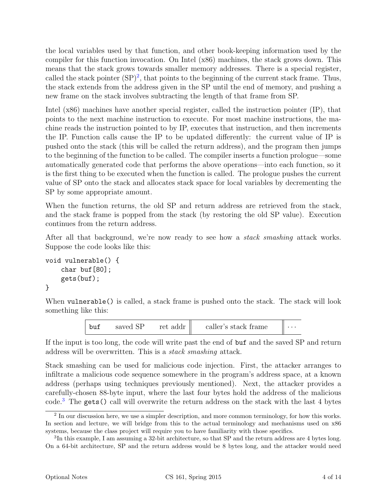the local variables used by that function, and other book-keeping information used by the compiler for this function invocation. On Intel (x86) machines, the stack grows down. This means that the stack grows towards smaller memory addresses. There is a special register, called the stack pointer  $(SP)^2$  $(SP)^2$ , that points to the beginning of the current stack frame. Thus, the stack extends from the address given in the SP until the end of memory, and pushing a new frame on the stack involves subtracting the length of that frame from SP.

Intel (x86) machines have another special register, called the instruction pointer (IP), that points to the next machine instruction to execute. For most machine instructions, the machine reads the instruction pointed to by IP, executes that instruction, and then increments the IP. Function calls cause the IP to be updated differently: the current value of IP is pushed onto the stack (this will be called the return address), and the program then jumps to the beginning of the function to be called. The compiler inserts a function prologue—some automatically generated code that performs the above operations—into each function, so it is the first thing to be executed when the function is called. The prologue pushes the current value of SP onto the stack and allocates stack space for local variables by decrementing the SP by some appropriate amount.

When the function returns, the old SP and return address are retrieved from the stack, and the stack frame is popped from the stack (by restoring the old SP value). Execution continues from the return address.

After all that background, we're now ready to see how a stack smashing attack works. Suppose the code looks like this:

```
void vulnerable() {
    char buf[80];
    gets(buf);
}
```
When **vulnerable**() is called, a stack frame is pushed onto the stack. The stack will look something like this:

| caller's stack frame<br>ret addr<br>h11f<br>saved |  |  |  |  | $\cdots$ |
|---------------------------------------------------|--|--|--|--|----------|
|---------------------------------------------------|--|--|--|--|----------|

If the input is too long, the code will write past the end of buf and the saved SP and return address will be overwritten. This is a stack smashing attack.

Stack smashing can be used for malicious code injection. First, the attacker arranges to infiltrate a malicious code sequence somewhere in the program's address space, at a known address (perhaps using techniques previously mentioned). Next, the attacker provides a carefully-chosen 88-byte input, where the last four bytes hold the address of the malicious code.[3](#page-3-1) The gets() call will overwrite the return address on the stack with the last 4 bytes

<span id="page-3-0"></span><sup>&</sup>lt;sup>2</sup> In our discussion here, we use a simpler description, and more common terminology, for how this works. In section and lecture, we will bridge from this to the actual terminology and mechanisms used on x86 systems, because the class project will require you to have familiarity with those specifics.

<span id="page-3-1"></span><sup>&</sup>lt;sup>3</sup>In this example, I am assuming a 32-bit architecture, so that SP and the return address are 4 bytes long. On a 64-bit architecture, SP and the return address would be 8 bytes long, and the attacker would need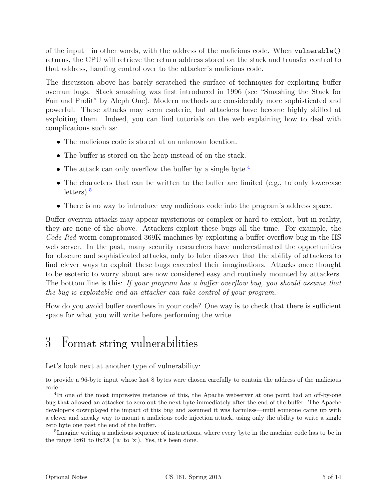of the input—in other words, with the address of the malicious code. When vulnerable() returns, the CPU will retrieve the return address stored on the stack and transfer control to that address, handing control over to the attacker's malicious code.

The discussion above has barely scratched the surface of techniques for exploiting buffer overrun bugs. Stack smashing was first introduced in 1996 (see "Smashing the Stack for Fun and Profit" by Aleph One). Modern methods are considerably more sophisticated and powerful. These attacks may seem esoteric, but attackers have become highly skilled at exploiting them. Indeed, you can find tutorials on the web explaining how to deal with complications such as:

- The malicious code is stored at an unknown location.
- The buffer is stored on the heap instead of on the stack.
- The attack can only overflow the buffer by a single byte.<sup>[4](#page-4-0)</sup>
- The characters that can be written to the buffer are limited (e.g., to only lowercase  $letters).<sup>5</sup>$  $letters).<sup>5</sup>$  $letters).<sup>5</sup>$
- There is no way to introduce *any* malicious code into the program's address space.

Buffer overrun attacks may appear mysterious or complex or hard to exploit, but in reality, they are none of the above. Attackers exploit these bugs all the time. For example, the Code Red worm compromised 369K machines by exploiting a buffer overflow bug in the IIS web server. In the past, many security researchers have underestimated the opportunities for obscure and sophisticated attacks, only to later discover that the ability of attackers to find clever ways to exploit these bugs exceeded their imaginations. Attacks once thought to be esoteric to worry about are now considered easy and routinely mounted by attackers. The bottom line is this: If your program has a buffer overflow bug, you should assume that the bug is exploitable and an attacker can take control of your program.

How do you avoid buffer overflows in your code? One way is to check that there is sufficient space for what you will write before performing the write.

### 3 Format string vulnerabilities

Let's look next at another type of vulnerability:

<span id="page-4-1"></span><sup>5</sup>Imagine writing a malicious sequence of instructions, where every byte in the machine code has to be in the range  $0x61$  to  $0x7A$  ('a' to 'z'). Yes, it's been done.

to provide a 96-byte input whose last 8 bytes were chosen carefully to contain the address of the malicious code.

<span id="page-4-0"></span><sup>&</sup>lt;sup>4</sup>In one of the most impressive instances of this, the Apache webserver at one point had an off-by-one bug that allowed an attacker to zero out the next byte immediately after the end of the buffer. The Apache developers downplayed the impact of this bug and assumed it was harmless—until someone came up with a clever and sneaky way to mount a malicious code injection attack, using only the ability to write a single zero byte one past the end of the buffer.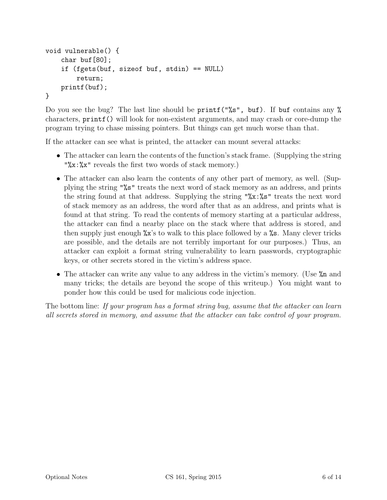```
void vulnerable() {
    char buf[80];
    if (fgets(buf, sizeof buf, stdin) == NULL)
        return;
    printf(buf);
}
```
Do you see the bug? The last line should be printf("%s", buf). If buf contains any % characters, printf() will look for non-existent arguments, and may crash or core-dump the program trying to chase missing pointers. But things can get much worse than that.

If the attacker can see what is printed, the attacker can mount several attacks:

- The attacker can learn the contents of the function's stack frame. (Supplying the string "%x:%x" reveals the first two words of stack memory.)
- The attacker can also learn the contents of any other part of memory, as well. (Supplying the string "%s" treats the next word of stack memory as an address, and prints the string found at that address. Supplying the string " $\&x:\&s$ " treats the next word of stack memory as an address, the word after that as an address, and prints what is found at that string. To read the contents of memory starting at a particular address, the attacker can find a nearby place on the stack where that address is stored, and then supply just enough %x's to walk to this place followed by a %s. Many clever tricks are possible, and the details are not terribly important for our purposes.) Thus, an attacker can exploit a format string vulnerability to learn passwords, cryptographic keys, or other secrets stored in the victim's address space.
- The attacker can write any value to any address in the victim's memory. (Use  $\lambda$ n and many tricks; the details are beyond the scope of this writeup.) You might want to ponder how this could be used for malicious code injection.

The bottom line: If your program has a format string bug, assume that the attacker can learn all secrets stored in memory, and assume that the attacker can take control of your program.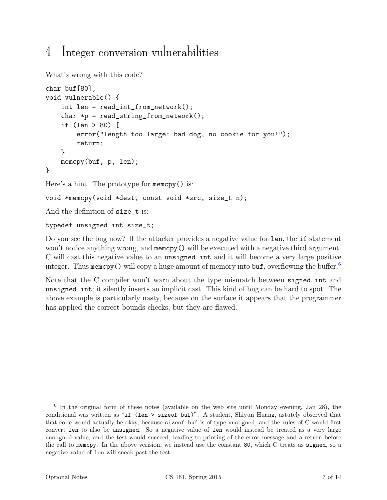# 4 Integer conversion vulnerabilities

```
What's wrong with this code?
char buf[80];
void vulnerable() {
    int len = read_int_from_network();
    char *p = read\_string\_from\_network();
    if (len > 80) {
        error("length too large: bad dog, no cookie for you!");
        return;
    }
    memcpy(buf, p, len);
}
Here's a hint. The prototype for memcpy() is:
void *memcpy(void *dest, const void *src, size_t n);
```
And the definition of size\_t is:

#### typedef unsigned int size\_t;

Do you see the bug now? If the attacker provides a negative value for len, the if statement won't notice anything wrong, and memcpy() will be executed with a negative third argument. C will cast this negative value to an unsigned int and it will become a very large positive integer. Thus memory () will copy a huge amount of memory into  $\mathbf{buf}$ , overflowing the buffer.

Note that the C compiler won't warn about the type mismatch between signed int and unsigned int; it silently inserts an implicit cast. This kind of bug can be hard to spot. The above example is particularly nasty, because on the surface it appears that the programmer has applied the correct bounds checks, but they are flawed.

<span id="page-6-0"></span><sup>&</sup>lt;sup>6</sup> In the original form of these notes (available on the web site until Monday evening, Jan 28), the conditional was written as "if (len > sizeof buf)". A student, Shiyun Huang, astutely observed that that code would actually be okay, because sizeof buf is of type unsigned, and the rules of C would first convert len to also be unsigned. So a negative value of len would instead be treated as a very large unsigned value, and the test would succeed, leading to printing of the error message and a return before the call to memcpy. In the above verision, we instead use the constant 80, which C treats as signed, so a negative value of len will sneak past the test.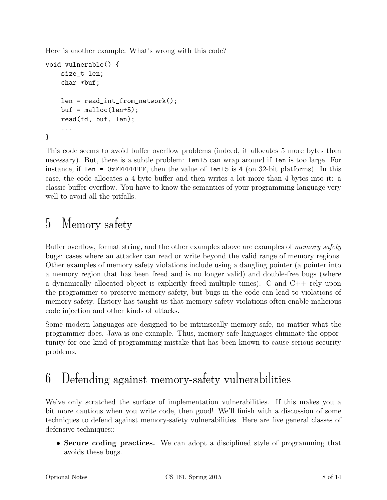Here is another example. What's wrong with this code?

```
void vulnerable() {
    size_t len;
    char *buf;
    len = read_int_from_network();
    buf = <code>mall</code>read(fd, buf, len);
    ...
}
```
This code seems to avoid buffer overflow problems (indeed, it allocates 5 more bytes than necessary). But, there is a subtle problem: len+5 can wrap around if len is too large. For instance, if len =  $0x$ FFFFFFFF, then the value of len+5 is 4 (on 32-bit platforms). In this case, the code allocates a 4-byte buffer and then writes a lot more than 4 bytes into it: a classic buffer overflow. You have to know the semantics of your programming language very well to avoid all the pitfalls.

# 5 Memory safety

Buffer overflow, format string, and the other examples above are examples of *memory safety* bugs: cases where an attacker can read or write beyond the valid range of memory regions. Other examples of memory safety violations include using a dangling pointer (a pointer into a memory region that has been freed and is no longer valid) and double-free bugs (where a dynamically allocated object is explicitly freed multiple times). C and C++ rely upon the programmer to preserve memory safety, but bugs in the code can lead to violations of memory safety. History has taught us that memory safety violations often enable malicious code injection and other kinds of attacks.

Some modern languages are designed to be intrinsically memory-safe, no matter what the programmer does. Java is one example. Thus, memory-safe languages eliminate the opportunity for one kind of programming mistake that has been known to cause serious security problems.

# 6 Defending against memory-safety vulnerabilities

We've only scratched the surface of implementation vulnerabilities. If this makes you a bit more cautious when you write code, then good! We'll finish with a discussion of some techniques to defend against memory-safety vulnerabilities. Here are five general classes of defensive techniques::

• Secure coding practices. We can adopt a disciplined style of programming that avoids these bugs.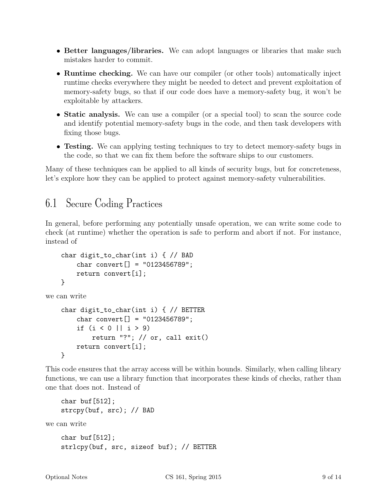- Better languages/libraries. We can adopt languages or libraries that make such mistakes harder to commit.
- Runtime checking. We can have our compiler (or other tools) automatically inject runtime checks everywhere they might be needed to detect and prevent exploitation of memory-safety bugs, so that if our code does have a memory-safety bug, it won't be exploitable by attackers.
- Static analysis. We can use a compiler (or a special tool) to scan the source code and identify potential memory-safety bugs in the code, and then task developers with fixing those bugs.
- Testing. We can applying testing techniques to try to detect memory-safety bugs in the code, so that we can fix them before the software ships to our customers.

Many of these techniques can be applied to all kinds of security bugs, but for concreteness, let's explore how they can be applied to protect against memory-safety vulnerabilities.

### 6.1 Secure Coding Practices

In general, before performing any potentially unsafe operation, we can write some code to check (at runtime) whether the operation is safe to perform and abort if not. For instance, instead of

```
char digit_to_char(int i) { // BAD
        char convert[] = "0123456789";
        return convert[i];
    }
we can write
```

```
char digit_to_char(int i) { // BETTER
    char convert[] = "0123456789";
    if (i < 0 || i > 9)
        return "?"; // or, call exit()
    return convert[i];
}
```
This code ensures that the array access will be within bounds. Similarly, when calling library functions, we can use a library function that incorporates these kinds of checks, rather than one that does not. Instead of

```
char buf[512];
    strcpy(buf, src); // BAD
we can write
    char buf[512];
    strlcpy(buf, src, sizeof buf); // BETTER
```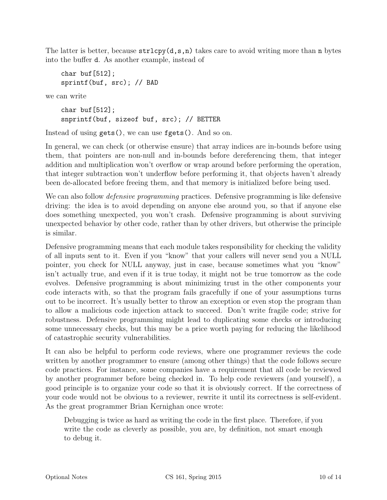The latter is better, because  $\text{strlcpy}(d,s,n)$  takes care to avoid writing more than n bytes into the buffer d. As another example, instead of

char buf[512]; sprintf(buf, src); // BAD

we can write

char buf $[512]$ ; snprintf(buf, sizeof buf, src); // BETTER

Instead of using gets(), we can use fgets(). And so on.

In general, we can check (or otherwise ensure) that array indices are in-bounds before using them, that pointers are non-null and in-bounds before dereferencing them, that integer addition and multiplication won't overflow or wrap around before performing the operation, that integer subtraction won't underflow before performing it, that objects haven't already been de-allocated before freeing them, and that memory is initialized before being used.

We can also follow *defensive programming* practices. Defensive programming is like defensive driving: the idea is to avoid depending on anyone else around you, so that if anyone else does something unexpected, you won't crash. Defensive programming is about surviving unexpected behavior by other code, rather than by other drivers, but otherwise the principle is similar.

Defensive programming means that each module takes responsibility for checking the validity of all inputs sent to it. Even if you "know" that your callers will never send you a NULL pointer, you check for NULL anyway, just in case, because sometimes what you "know" isn't actually true, and even if it is true today, it might not be true tomorrow as the code evolves. Defensive programming is about minimizing trust in the other components your code interacts with, so that the program fails gracefully if one of your assumptions turns out to be incorrect. It's usually better to throw an exception or even stop the program than to allow a malicious code injection attack to succeed. Don't write fragile code; strive for robustness. Defensive programming might lead to duplicating some checks or introducing some unnecessary checks, but this may be a price worth paying for reducing the likelihood of catastrophic security vulnerabilities.

It can also be helpful to perform code reviews, where one programmer reviews the code written by another programmer to ensure (among other things) that the code follows secure code practices. For instance, some companies have a requirement that all code be reviewed by another programmer before being checked in. To help code reviewers (and yourself), a good principle is to organize your code so that it is obviously correct. If the correctness of your code would not be obvious to a reviewer, rewrite it until its correctness is self-evident. As the great programmer Brian Kernighan once wrote:

Debugging is twice as hard as writing the code in the first place. Therefore, if you write the code as cleverly as possible, you are, by definition, not smart enough to debug it.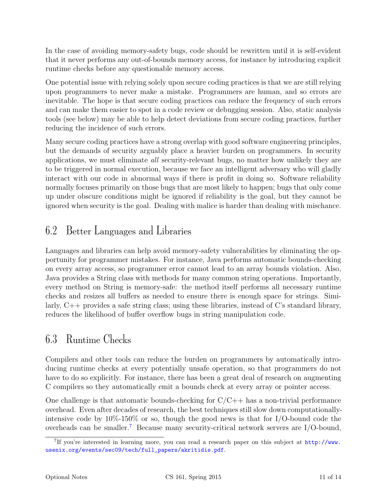In the case of avoiding memory-safety bugs, code should be rewritten until it is self-evident that it never performs any out-of-bounds memory access, for instance by introducing explicit runtime checks before any questionable memory access.

One potential issue with relying solely upon secure coding practices is that we are still relying upon programmers to never make a mistake. Programmers are human, and so errors are inevitable. The hope is that secure coding practices can reduce the frequency of such errors and can make them easier to spot in a code review or debugging session. Also, static analysis tools (see below) may be able to help detect deviations from secure coding practices, further reducing the incidence of such errors.

Many secure coding practices have a strong overlap with good software engineering principles, but the demands of security arguably place a heavier burden on programmers. In security applications, we must eliminate all security-relevant bugs, no matter how unlikely they are to be triggered in normal execution, because we face an intelligent adversary who will gladly interact with our code in abnormal ways if there is profit in doing so. Software reliability normally focuses primarily on those bugs that are most likely to happen; bugs that only come up under obscure conditions might be ignored if reliability is the goal, but they cannot be ignored when security is the goal. Dealing with malice is harder than dealing with mischance.

### 6.2 Better Languages and Libraries

Languages and libraries can help avoid memory-safety vulnerabilities by eliminating the opportunity for programmer mistakes. For instance, Java performs automatic bounds-checking on every array access, so programmer error cannot lead to an array bounds violation. Also, Java provides a String class with methods for many common string operations. Importantly, every method on String is memory-safe: the method itself performs all necessary runtime checks and resizes all buffers as needed to ensure there is enough space for strings. Similarly, C++ provides a safe string class; using these libraries, instead of C's standard library, reduces the likelihood of buffer overflow bugs in string manipulation code.

#### 6.3 Runtime Checks

Compilers and other tools can reduce the burden on programmers by automatically introducing runtime checks at every potentially unsafe operation, so that programmers do not have to do so explicitly. For instance, there has been a great deal of research on augmenting C compilers so they automatically emit a bounds check at every array or pointer access.

One challenge is that automatic bounds-checking for  $C/C++$  has a non-trivial performance overhead. Even after decades of research, the best techniques still slow down computationallyintensive code by  $10\%$ -150% or so, though the good news is that for I/O-bound code the overheads can be smaller.<sup>[7](#page-10-0)</sup> Because many security-critical network servers are  $I/O$ -bound,

<span id="page-10-0"></span><sup>&</sup>lt;sup>7</sup>If you're interested in learning more, you can read a research paper on this subject at [http://www.](http://www.usenix.org/events/sec09/tech/full_papers/akritidis.pdf) [usenix.org/events/sec09/tech/full\\_papers/akritidis.pdf](http://www.usenix.org/events/sec09/tech/full_papers/akritidis.pdf).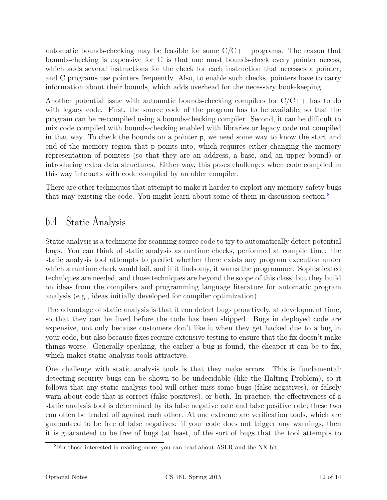automatic bounds-checking may be feasible for some  $C/C++$  programs. The reason that bounds-checking is expensive for C is that one must bounds-check every pointer access, which adds several instructions for the check for each instruction that accesses a pointer, and C programs use pointers frequently. Also, to enable such checks, pointers have to carry information about their bounds, which adds overhead for the necessary book-keeping.

Another potential issue with automatic bounds-checking compilers for  $C/C++$  has to do with legacy code. First, the source code of the program has to be available, so that the program can be re-compiled using a bounds-checking compiler. Second, it can be difficult to mix code compiled with bounds-checking enabled with libraries or legacy code not compiled in that way. To check the bounds on a pointer p, we need some way to know the start and end of the memory region that p points into, which requires either changing the memory representation of pointers (so that they are an address, a base, and an upper bound) or introducing extra data structures. Either way, this poses challenges when code compiled in this way interacts with code compiled by an older compiler.

There are other techniques that attempt to make it harder to exploit any memory-safety bugs that may existing the code. You might learn about some of them in discussion section.[8](#page-11-0)

### 6.4 Static Analysis

Static analysis is a technique for scanning source code to try to automatically detect potential bugs. You can think of static analysis as runtime checks, performed at compile time: the static analysis tool attempts to predict whether there exists any program execution under which a runtime check would fail, and if it finds any, it warns the programmer. Sophisticated techniques are needed, and those techniques are beyond the scope of this class, but they build on ideas from the compilers and programming language literature for automatic program analysis (e.g., ideas initially developed for compiler optimization).

The advantage of static analysis is that it can detect bugs proactively, at development time, so that they can be fixed before the code has been shipped. Bugs in deployed code are expensive, not only because customers don't like it when they get hacked due to a bug in your code, but also because fixes require extensive testing to ensure that the fix doesn't make things worse. Generally speaking, the earlier a bug is found, the cheaper it can be to fix, which makes static analysis tools attractive.

One challenge with static analysis tools is that they make errors. This is fundamental: detecting security bugs can be shown to be undecidable (like the Halting Problem), so it follows that any static analysis tool will either miss some bugs (false negatives), or falsely warn about code that is correct (false positives), or both. In practice, the effectiveness of a static analysis tool is determined by its false negative rate and false positive rate; these two can often be traded off against each other. At one extreme are verification tools, which are guaranteed to be free of false negatives: if your code does not trigger any warnings, then it is guaranteed to be free of bugs (at least, of the sort of bugs that the tool attempts to

<span id="page-11-0"></span><sup>8</sup>For those interested in reading more, you can read about ASLR and the NX bit.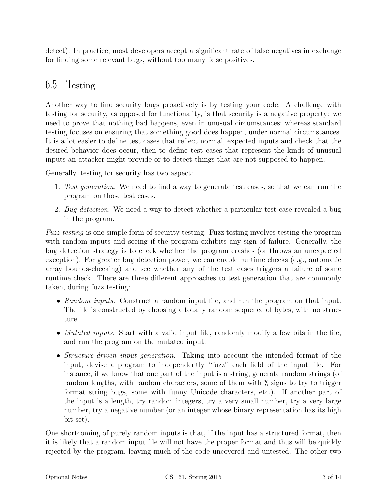detect). In practice, most developers accept a significant rate of false negatives in exchange for finding some relevant bugs, without too many false positives.

#### 6.5 Testing

Another way to find security bugs proactively is by testing your code. A challenge with testing for security, as opposed for functionality, is that security is a negative property: we need to prove that nothing bad happens, even in unusual circumstances; whereas standard testing focuses on ensuring that something good does happen, under normal circumstances. It is a lot easier to define test cases that reflect normal, expected inputs and check that the desired behavior does occur, then to define test cases that represent the kinds of unusual inputs an attacker might provide or to detect things that are not supposed to happen.

Generally, testing for security has two aspect:

- 1. Test generation. We need to find a way to generate test cases, so that we can run the program on those test cases.
- 2. Bug detection. We need a way to detect whether a particular test case revealed a bug in the program.

Fuzz testing is one simple form of security testing. Fuzz testing involves testing the program with random inputs and seeing if the program exhibits any sign of failure. Generally, the bug detection strategy is to check whether the program crashes (or throws an unexpected exception). For greater bug detection power, we can enable runtime checks (e.g., automatic array bounds-checking) and see whether any of the test cases triggers a failure of some runtime check. There are three different approaches to test generation that are commonly taken, during fuzz testing:

- Random inputs. Construct a random input file, and run the program on that input. The file is constructed by choosing a totally random sequence of bytes, with no structure.
- *Mutated inputs*. Start with a valid input file, randomly modify a few bits in the file, and run the program on the mutated input.
- *Structure-driven input generation*. Taking into account the intended format of the input, devise a program to independently "fuzz" each field of the input file. For instance, if we know that one part of the input is a string, generate random strings (of random lengths, with random characters, some of them with % signs to try to trigger format string bugs, some with funny Unicode characters, etc.). If another part of the input is a length, try random integers, try a very small number, try a very large number, try a negative number (or an integer whose binary representation has its high bit set).

One shortcoming of purely random inputs is that, if the input has a structured format, then it is likely that a random input file will not have the proper format and thus will be quickly rejected by the program, leaving much of the code uncovered and untested. The other two